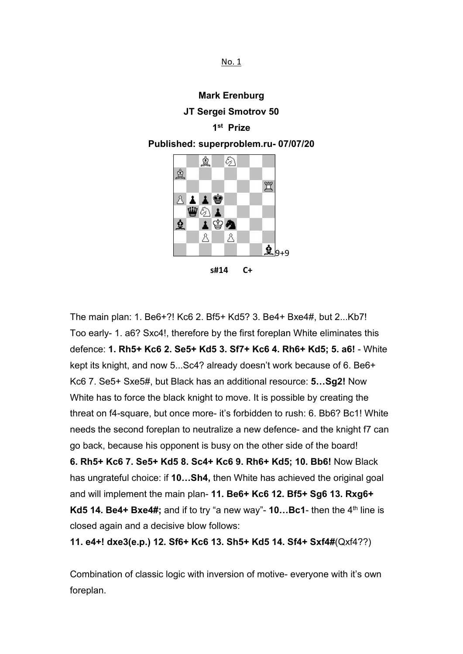No. 1

### **Mark Erenburg**

### **JT Sergei Smotrov 50**

## **1 st Prize**

### **Published: superproblem.ru- 07/07/20**



**s#14 C+**

The main plan: 1. Be6+?! Kc6 2. Bf5+ Kd5? 3. Be4+ Bxe4#, but 2...Kb7! Too early- 1. a6? Sxc4!, therefore by the first foreplan White eliminates this defence: **1. Rh5+ Kc6 2. Se5+ Kd5 3. Sf7+ Kc6 4. Rh6+ Kd5; 5.a6!** - White kept its knight, and now 5...Sc4? already doesn't work because of 6. Be6+ Kc6 7. Se5+ Sxe5#, but Black has an additional resource: **5…Sg2!** Now White has to force the black knight to move. It is possible by creating the threat on f4-square, but once more- it's forbidden to rush: 6. Bb6? Bc1! White needs the second foreplan to neutralize a new defence- and the knight f7 can go back, because his opponent is busy on the otherside of the board! **6. Rh5+ Kc6 7. Se5+ Kd5 8. Sc4+ Kc6 9. Rh6+ Kd5; 10. Bb6!** Now Black has ungrateful choice: if **10…Sh4,** then White has achieved the original goal and will implement the main plan- **11. Be6+ Kc6 12. Bf5+ Sg6 13. Rxg6+ Kd5 14. Be4+ Bxe4#;** and if to try "a new way"- **10…Bc1**- then the 4<sup>th</sup> line is closed again and a decisive blow follows:

**11. e4+! dxe3(e.p.) 12. Sf6+ Kc6 13. Sh5+ Kd5 14. Sf4+ Sxf4#**(Qxf4??)

Combination of classic logic with inversion of motive- everyone with it's own foreplan.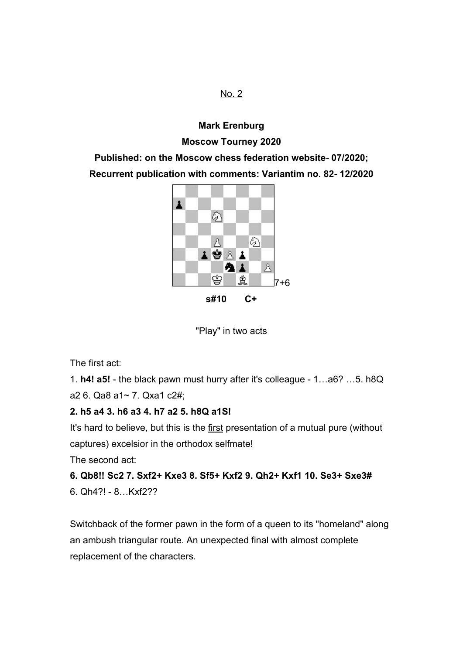# **Mark Erenburg Moscow Tourney 2020**

**Published: on the Moscow chess federation website- 07/2020; Recurrent publication with comments: Variantim no. 82- 12/2020**



"Play" in two acts

The first act:

1. **h4! a5!** - the black pawn must hurry after it's colleague - 1…a6? …5. h8Q a2 6. Qa8 a1~ 7. Qxa1 c2#;

## **2. h5 a4 3. h6 a3 4. h7 a2 5. h8Q a1S!**

It's hard to believe, but this is the first presentation of a mutual pure (without captures) excelsior in the orthodox selfmate!

The second act:

# **6. Qb8!! Sc2 7. Sxf2+ Kxe3 8. Sf5+ Kxf2 9. Qh2+ Kxf1 10. Se3+ Sxe3#**

6. Qh4?! - 8…Kxf2??

Switchback of the former pawn in the form of a queen to its "homeland" along an ambush triangular route. An unexpected final with almost complete replacement of the characters.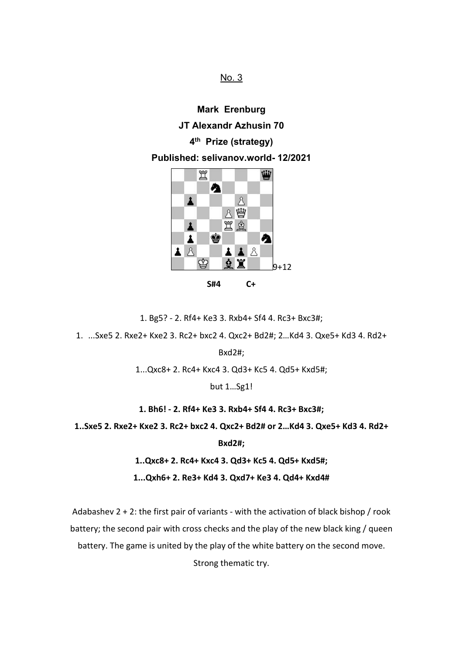**Mark Erenburg JT Alexandr Azhusin 70 4 th Prize (strategy) Published: selivanov.world- 12/2021** 置 Ŵ Ą  $\Delta$  $\mathbf{1}$ 8 幽 置鱼  $\overline{\mathbf{A}}$ ¢  $\blacktriangle$ A  $\Delta$   $\Delta$  $\blacktriangle$   $\blacktriangle$ 

**S#4 C+**

晟

 $9+12$ 

1. Bg5? - 2. Rf4+ Ke3 3. Rxb4+ Sf4 4. Rc3+ Bxc3#;

1. ...Sxe5 2. Rxe2+ Kxe2 3. Rc2+ bxc2 4. Qxc2+ Bd2#; 2…Kd4 3. Qxe5+ Kd3 4. Rd2+

Bxd2#;

1...Qxc8+ 2. Rc4+ Kxc4 3. Qd3+ Kc5 4. Qd5+ Kxd5#;

but 1…Sg1!

**1. Bh6! - 2. Rf4+ Ke3 3. Rxb4+ Sf4 4. Rc3+ Bxc3#;**

**1..Sxe5 2. Rxe2+ Kxe2 3. Rc2+ bxc2 4. Qxc2+ Bd2# or 2…Kd4 3. Qxe5+ Kd3 4. Rd2+**

**Bxd2#;**

**1..Qxc8+ 2. Rc4+ Kxc4 3. Qd3+ Kc5 4. Qd5+ Kxd5#;**

**1...Qxh6+ 2. Re3+ Kd4 3. Qxd7+ Ke3 4. Qd4+ Kxd4#**

Adabashev 2 + 2: the first pair of variants - with the activation of black bishop / rook battery; the second pair with cross checks and the play of the new black king / queen

battery. The game is united by the play of the white battery on the second move.

Strong thematic try.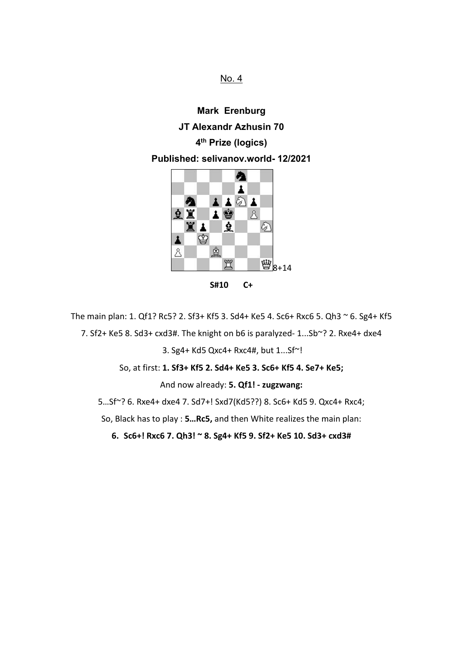No. 4

**Mark Erenburg JT Alexandr Azhusin 70 4 th Prize (logics) Published: selivanov.world- 12/2021**



**S#10 C+**

The main plan: 1. Qf1? Rc5? 2. Sf3+ Kf5 3. Sd4+ Ke5 4. Sc6+ Rxc6 5. Qh3 ~ 6. Sg4+ Kf5 7. Sf2+ Ke5 8. Sd3+ cxd3#. The knight on b6 is paralyzed- 1...Sb~? 2. Rxe4+ dxe4 3. Sg4+ Kd5 Qxc4+ Rxc4#, but 1...Sf~!

So, at first: **1. Sf3+ Kf5 2. Sd4+ Ke5 3. Sc6+ Kf5 4. Se7+ Ke5;**

And now already: **5. Qf1! - zugzwang:**

5…Sf~? 6. Rxe4+ dxe4 7. Sd7+! Sxd7(Kd5??) 8.Sc6+ Kd5 9. Qxc4+ Rxc4;

So, Black has to play : **5…Rc5,**and then White realizes the main plan:

**6. Sc6+! Rxc6 7. Qh3! ~ 8. Sg4+ Kf5 9. Sf2+ Ke5 10. Sd3+ cxd3#**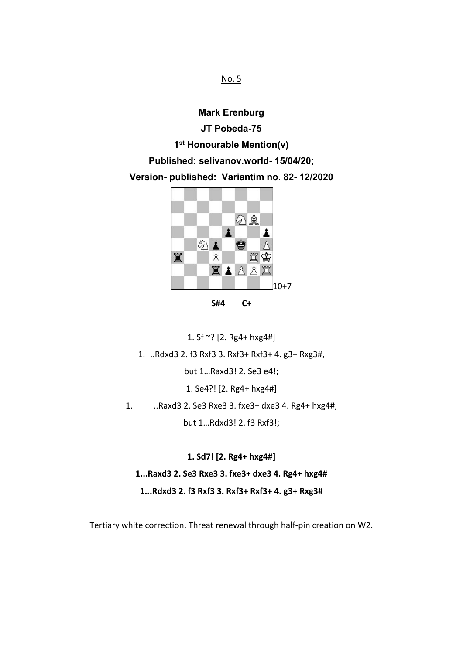**Mark Erenburg JT Pobeda-75 1 st Honourable Mention(v) Published: selivanov.world- 15/04/20; Version- published: Variantim no. 82- 12/2020**



**S#4 C+**

1. Sf  $\sim$ ? [2. Rg4+ hxg4#]

1. ..Rdxd3 2. f3 Rxf3 3. Rxf3+ Rxf3+ 4. g3+ Rxg3#,

but 1…Raxd3! 2. Se3 e4!;

1. Se4?! [2. Rg4+ hxg4#]

1. ..Raxd3 2. Se3 Rxe3 3. fxe3+ dxe3 4. Rg4+ hxg4#,

but 1…Rdxd3! 2. f3 Rxf3!;

**1. Sd7! [2. Rg4+ hxg4#] 1...Raxd3 2. Se3 Rxe3 3. fxe3+ dxe3 4. Rg4+ hxg4# 1...Rdxd3 2. f3 Rxf3 3. Rxf3+ Rxf3+ 4. g3+ Rxg3#**

Tertiary white correction.Threat renewal through half-pin creation on W2.